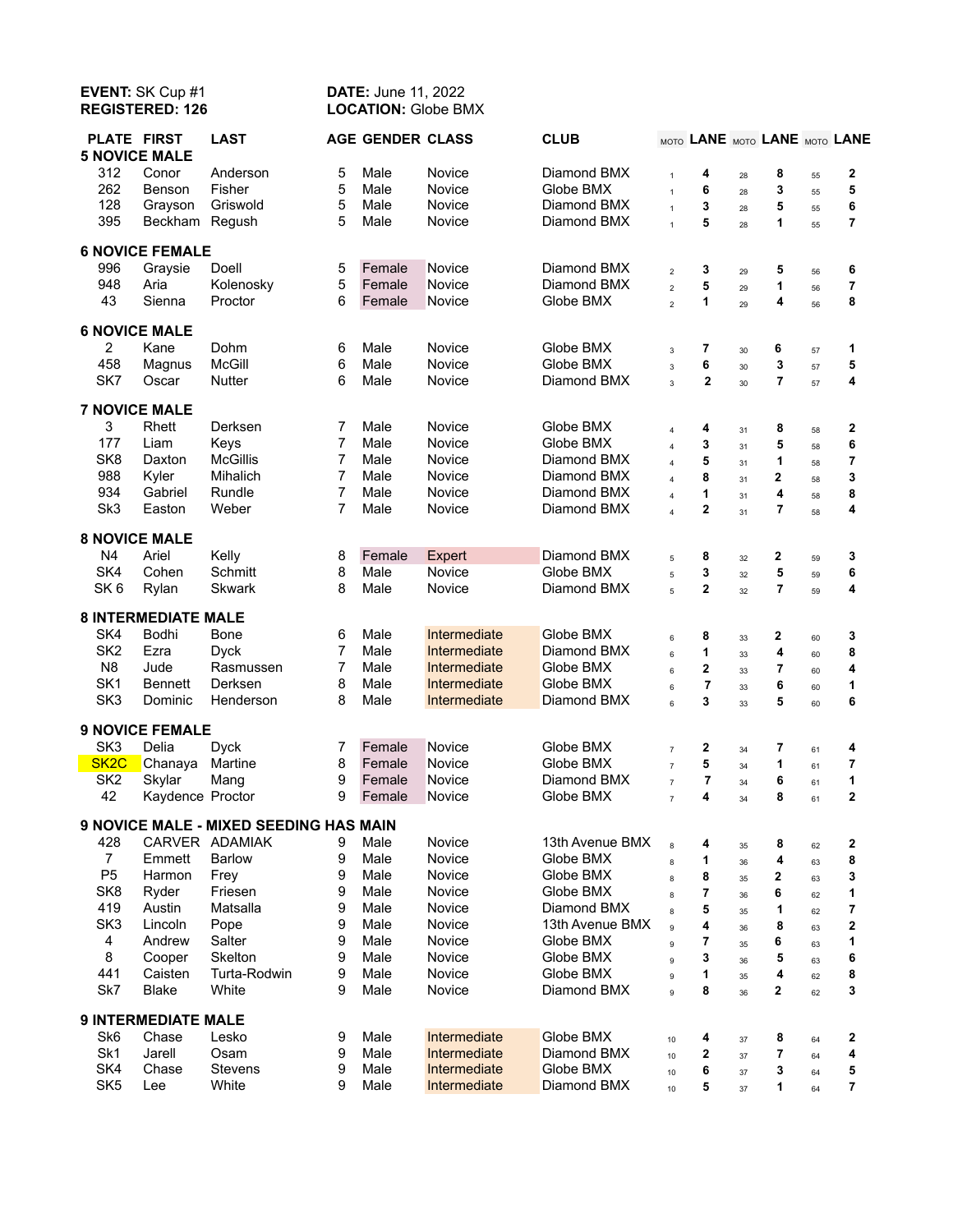## **EVENT:** SK Cup #1 **DATE:** June 11, 2022<br> **REGISTERED:** 126 **LOCATION:** Globe BN **LOCATION: Globe BMX**

| <b>PLATE FIRST</b><br><b>5 NOVICE MALE</b> |                            | <b>LAST</b>                            |                | <b>AGE GENDER CLASS</b> |              | <b>CLUB</b>     |                         | MOTO LANE MOTO LANE MOTO LANE |          |                |          |                |
|--------------------------------------------|----------------------------|----------------------------------------|----------------|-------------------------|--------------|-----------------|-------------------------|-------------------------------|----------|----------------|----------|----------------|
| 312                                        | Conor                      | Anderson                               | 5              | Male                    | Novice       | Diamond BMX     | 1                       | 4                             | 28       | 8              | 55       | 2              |
| 262                                        | Benson                     | Fisher                                 | 5              | Male                    | Novice       | Globe BMX       | $\mathbf{1}$            | 6                             | 28       | 3              | 55       | 5              |
| 128                                        | Grayson                    | Griswold                               | 5              | Male                    | Novice       | Diamond BMX     | $\mathbf{1}$            | 3                             | 28       | 5              | 55       | 6              |
| 395                                        | Beckham                    | Regush                                 | 5              | Male                    | Novice       | Diamond BMX     | $\ddot{\phantom{0}}$    | 5                             | 28       | 1              | 55       | 7              |
|                                            | <b>6 NOVICE FEMALE</b>     |                                        |                |                         |              |                 |                         |                               |          |                |          |                |
| 996                                        | Graysie                    | Doell                                  | 5              | Female                  | Novice       | Diamond BMX     | $\overline{2}$          | 3                             | 29       | 5              | 56       | 6              |
| 948                                        | Aria                       | Kolenosky                              | 5              | Female                  | Novice       | Diamond BMX     | $\overline{2}$          | 5                             | 29       | 1              | 56       | 7              |
| 43                                         | Sienna                     | Proctor                                | 6              | Female                  | Novice       | Globe BMX       | $\overline{a}$          | 1                             | 29       | 4              | 56       | 8              |
| <b>6 NOVICE MALE</b>                       |                            |                                        |                |                         |              |                 |                         |                               |          |                |          |                |
| 2                                          | Kane                       | Dohm                                   | 6              | Male                    | Novice       | Globe BMX       | $\mathbf{3}$            | 7                             | 30       | 6              | 57       | 1              |
| 458                                        | Magnus                     | <b>McGill</b>                          | 6              | Male                    | Novice       | Globe BMX       | $\overline{3}$          | 6                             | 30       | 3              | 57       | 5              |
| SK7                                        | Oscar                      | Nutter                                 | 6              | Male                    | Novice       | Diamond BMX     | $\overline{3}$          | $\overline{\mathbf{2}}$       | 30       | $\overline{7}$ | 57       | 4              |
|                                            | <b>7 NOVICE MALE</b>       |                                        |                |                         |              |                 |                         |                               |          |                |          |                |
| 3                                          | Rhett                      | Derksen                                | 7              | Male                    | Novice       | Globe BMX       | $\overline{4}$          | 4                             | 31       | 8              | 58       | $\mathbf 2$    |
| 177                                        | Liam                       | Keys                                   | 7              | Male                    | Novice       | Globe BMX       | $\overline{\mathbf{4}}$ | 3                             | 31       | 5              | 58       | 6              |
| SK <sub>8</sub>                            | Daxton                     | <b>McGillis</b>                        | 7              | Male                    | Novice       | Diamond BMX     | $\overline{4}$          | 5                             | 31       | 1              | 58       | 7              |
| 988                                        | Kyler                      | Mihalich                               | $\overline{7}$ | Male                    | Novice       | Diamond BMX     | $\overline{4}$          | 8                             | 31       | 2              | 58       | 3              |
| 934                                        | Gabriel                    | Rundle                                 | $\overline{7}$ | Male                    | Novice       | Diamond BMX     | $\overline{4}$          | 1                             | 31       | 4              | 58       | 8              |
| Sk <sub>3</sub>                            | Easton                     | Weber                                  | 7              | Male                    | Novice       | Diamond BMX     | $\overline{4}$          | $\overline{2}$                | 31       | $\overline{7}$ | 58       | 4              |
|                                            | <b>8 NOVICE MALE</b>       |                                        |                |                         |              |                 |                         |                               |          |                |          |                |
| N4                                         | Ariel                      | Kelly                                  | 8              | Female                  | Expert       | Diamond BMX     |                         | 8                             |          | 2              |          | 3              |
| SK4                                        | Cohen                      | <b>Schmitt</b>                         | 8              | Male                    | Novice       | Globe BMX       | 5                       | 3                             | 32       | 5              | 59       | 6              |
| SK <sub>6</sub>                            | Rylan                      | <b>Skwark</b>                          | 8              | Male                    | Novice       | Diamond BMX     | 5<br>$\overline{5}$     | 2                             | 32<br>32 | $\overline{7}$ | 59<br>59 | 4              |
|                                            |                            |                                        |                |                         |              |                 |                         |                               |          |                |          |                |
|                                            | <b>8 INTERMEDIATE MALE</b> |                                        |                |                         |              |                 |                         |                               |          |                |          |                |
| SK4                                        | Bodhi                      | Bone                                   | 6              | Male                    | Intermediate | Globe BMX       | 6                       | 8                             | 33       | 2              | 60       | 3              |
| SK <sub>2</sub>                            | Ezra                       | <b>Dyck</b>                            | 7              | Male                    | Intermediate | Diamond BMX     | 6                       | 1                             | 33       | 4              | 60       | 8              |
| N <sub>8</sub>                             | Jude                       | Rasmussen                              | $\overline{7}$ | Male                    | Intermediate | Globe BMX       | 6                       | 2                             | 33       | 7              | 60       | 4              |
| SK <sub>1</sub>                            | <b>Bennett</b>             | Derksen                                | 8              | Male                    | Intermediate | Globe BMX       | 6                       | $\overline{7}$                | 33       | 6              | 60       | 1              |
| SK <sub>3</sub>                            | Dominic                    | Henderson                              | 8              | Male                    | Intermediate | Diamond BMX     | $6\overline{6}$         | 3                             | 33       | 5              | 60       | 6              |
|                                            | <b>9 NOVICE FEMALE</b>     |                                        |                |                         |              |                 |                         |                               |          |                |          |                |
| SK <sub>3</sub>                            | Delia                      | <b>Dyck</b>                            | 7              | Female                  | Novice       | Globe BMX       | $\overline{7}$          | 2                             | 34       | 7              | 61       | 4              |
| SK <sub>2</sub> C                          | Chanaya                    | Martine                                | 8              | Female                  | Novice       | Globe BMX       | $\overline{7}$          | 5                             | 34       | 1              | 61       | 7              |
| SK <sub>2</sub>                            | Skylar                     | Mang                                   | 9              | Female                  | Novice       | Diamond BMX     | $\overline{7}$          | $\overline{7}$                | 34       | 6              | 61       | 1              |
| 42                                         | Kaydence Proctor           |                                        | 9              | Female                  | Novice       | Globe BMX       | $\overline{7}$          | 4                             | 34       | 8              | 61       | $\overline{2}$ |
|                                            |                            | 9 NOVICE MALE - MIXED SEEDING HAS MAIN |                |                         |              |                 |                         |                               |          |                |          |                |
| 428                                        |                            | CARVER ADAMIAK                         | 9              | Male                    | Novice       | 13th Avenue BMX |                         | 4                             |          | 8              |          | 2              |
| $\overline{7}$                             | Emmett                     | <b>Barlow</b>                          | 9              | Male                    | Novice       | Globe BMX       | 8                       | 1                             | 35       | 4              | 62       |                |
| P <sub>5</sub>                             | Harmon                     | Frey                                   | 9              | Male                    | Novice       | Globe BMX       | 8                       | 8                             | 36       |                | 63       | 8              |
| SK <sub>8</sub>                            |                            | Friesen                                |                | Male                    | Novice       | Globe BMX       | 8                       |                               | 35       | 2              | 63       | 3              |
|                                            | Ryder                      |                                        | 9              |                         |              |                 | $\mathbf{a}$            | 7                             | 36       | 6              | 62       | 1              |
| 419                                        | Austin                     | Matsalla                               | 9              | Male                    | Novice       | Diamond BMX     | $\mathbf{a}$            | 5                             | 35       | 1              | 62       | 7              |
| SK <sub>3</sub>                            | Lincoln                    | Pope                                   | 9              | Male                    | Novice       | 13th Avenue BMX | 9                       | 4                             | 36       | 8              | 63       | $\mathbf 2$    |
| 4                                          | Andrew                     | Salter                                 | 9              | Male                    | Novice       | Globe BMX       | 9                       | 7                             | 35       | 6              | 63       | 1              |
| 8                                          | Cooper                     | Skelton                                | 9              | Male                    | Novice       | Globe BMX       | 9                       | 3                             | 36       | 5              | 63       | 6              |
| 441                                        | Caisten                    | Turta-Rodwin                           | 9              | Male                    | Novice       | Globe BMX       | $\mathbf{Q}$            | 1                             | 35       | 4              | 62       | 8              |
| Sk7                                        | <b>Blake</b>               | White                                  | 9              | Male                    | Novice       | Diamond BMX     | 9                       | 8                             | 36       | 2              | 62       | 3              |
| <b>9 INTERMEDIATE MALE</b>                 |                            |                                        |                |                         |              |                 |                         |                               |          |                |          |                |
| Sk <sub>6</sub>                            | Chase                      | Lesko                                  | 9              | Male                    | Intermediate | Globe BMX       | 10                      | 4                             | 37       | 8              | 64       | 2              |
| Sk1                                        | Jarell                     | Osam                                   | 9              | Male                    | Intermediate | Diamond BMX     | 10                      | 2                             | 37       | 7              | 64       | 4              |
| SK4                                        | Chase                      | <b>Stevens</b>                         | 9              | Male                    | Intermediate | Globe BMX       | 10                      | 6                             | 37       | 3              | 64       | 5              |
| SK <sub>5</sub>                            | Lee                        | White                                  | 9              | Male                    | Intermediate | Diamond BMX     | 10                      | 5                             | 37       | 1              | 64       | 7              |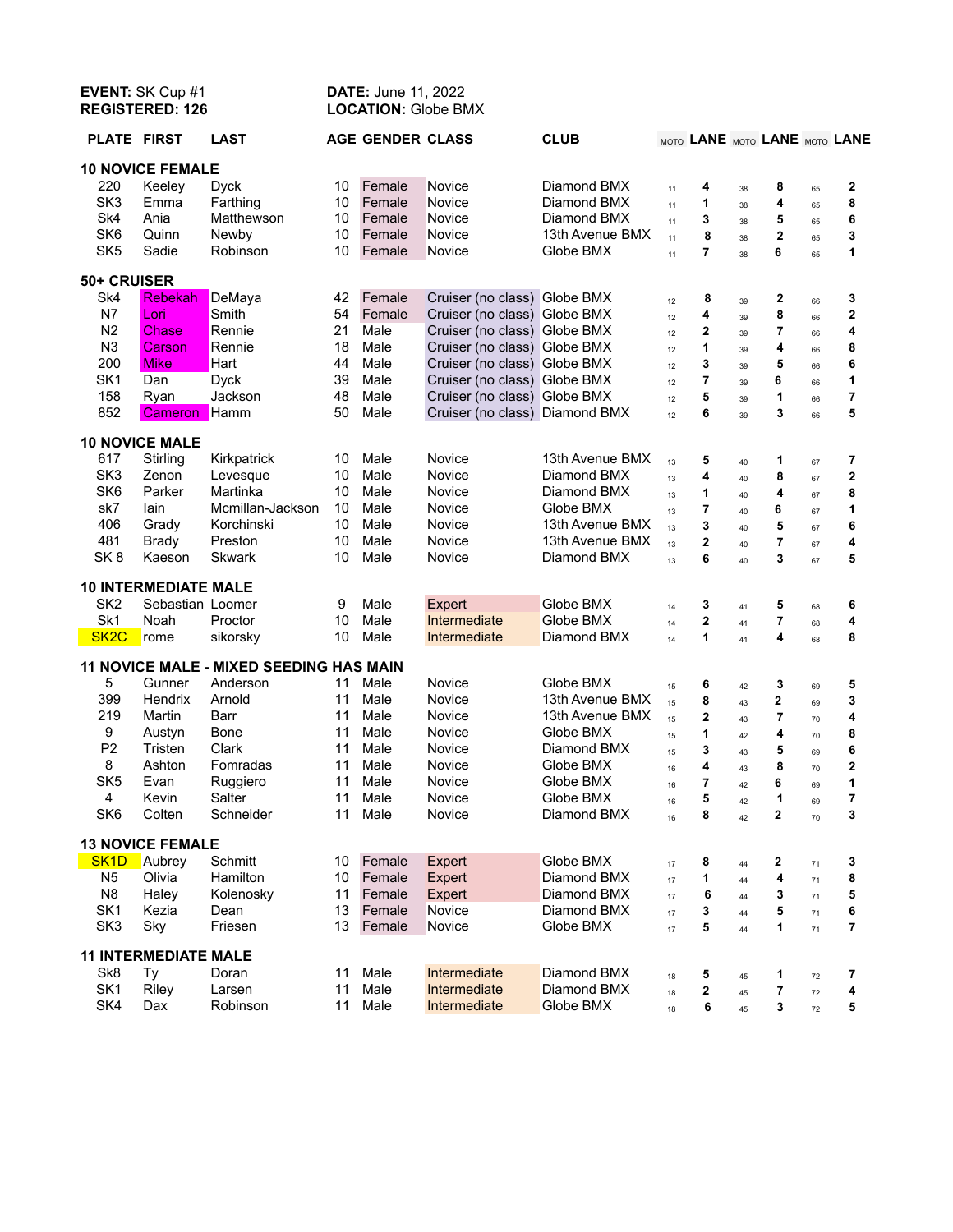| EVENT: SK Cup #1<br><b>REGISTERED: 126</b> |                             |                                         | <b>DATE: June 11, 2022</b><br><b>LOCATION: Globe BMX</b> |                         |                                |                          |          |                               |          |                |          |                     |
|--------------------------------------------|-----------------------------|-----------------------------------------|----------------------------------------------------------|-------------------------|--------------------------------|--------------------------|----------|-------------------------------|----------|----------------|----------|---------------------|
| <b>PLATE FIRST</b>                         |                             | <b>LAST</b>                             |                                                          | <b>AGE GENDER CLASS</b> |                                | <b>CLUB</b>              |          | MOTO LANE MOTO LANE MOTO LANE |          |                |          |                     |
|                                            | <b>10 NOVICE FEMALE</b>     |                                         |                                                          |                         |                                |                          |          |                               |          |                |          |                     |
| 220                                        | Keeley                      | <b>Dyck</b>                             | 10                                                       | Female                  | Novice                         | Diamond BMX              | 11       | 4                             | 38       | 8              | 65       | $\mathbf 2$         |
| SK <sub>3</sub>                            | Emma                        | Farthing                                | 10                                                       | Female                  | Novice                         | Diamond BMX              | 11       | 1                             | 38       | 4              | 65       | 8                   |
| Sk4                                        | Ania                        | Matthewson                              | 10                                                       | Female                  | Novice                         | Diamond BMX              | 11       | 3                             | 38       | 5              | 65       | 6                   |
| SK6                                        | Quinn                       | Newby                                   | 10                                                       | Female                  | Novice                         | 13th Avenue BMX          | 11       | 8                             | 38       | $\mathbf{2}$   | 65       | 3                   |
| SK <sub>5</sub>                            | Sadie                       | Robinson                                | 10                                                       | Female                  | Novice                         | Globe BMX                | 11       | $\overline{7}$                | 38       | 6              | 65       | 1                   |
| 50+ CRUISER                                |                             |                                         |                                                          |                         |                                |                          |          |                               |          |                |          |                     |
| Sk4                                        | Rebekah                     | DeMaya                                  | 42                                                       | Female                  | Cruiser (no class) Globe BMX   |                          | 12       | 8                             | 39       | 2              | 66       | 3                   |
| N7                                         | Lori                        | Smith                                   | 54                                                       | Female                  | Cruiser (no class) Globe BMX   |                          | 12       | 4                             | 39       | 8              | 66       | $\mathbf 2$         |
| N <sub>2</sub>                             | Chase                       | Rennie                                  | 21                                                       | Male                    | Cruiser (no class) Globe BMX   |                          | 12       | 2                             | 39       | $\overline{7}$ | 66       | 4                   |
| N <sub>3</sub>                             | Carson                      | Rennie                                  | 18                                                       | Male                    | Cruiser (no class) Globe BMX   |                          | 12       | 1                             | 39       | 4              | 66       | 8                   |
| 200                                        | <b>Mike</b>                 | Hart                                    | 44                                                       | Male                    | Cruiser (no class) Globe BMX   |                          | 12       | 3                             | 39       | 5              | 66       | 6                   |
| SK <sub>1</sub>                            | Dan                         | <b>Dyck</b>                             | 39                                                       | Male                    | Cruiser (no class) Globe BMX   |                          | 12       | 7                             | 39       | 6              | 66       | 1                   |
| 158                                        | Ryan                        | Jackson                                 | 48                                                       | Male                    | Cruiser (no class) Globe BMX   |                          | 12       | 5                             | 39       | 1              | 66       | 7                   |
| 852                                        | Cameron                     | Hamm                                    | 50                                                       | Male                    | Cruiser (no class) Diamond BMX |                          | 12       | 6                             | 39       | 3              | 66       | 5                   |
| <b>10 NOVICE MALE</b>                      |                             |                                         |                                                          |                         |                                |                          |          |                               |          |                |          |                     |
| 617                                        | Stirling                    | Kirkpatrick                             | 10                                                       | Male                    | Novice                         | 13th Avenue BMX          |          | 5                             |          | 1              |          | 7                   |
| SK <sub>3</sub>                            | Zenon                       | Levesque                                | 10                                                       | Male                    | Novice                         | Diamond BMX              | 13<br>13 | 4                             | 40       | 8              | 67       | $\mathbf 2$         |
| SK <sub>6</sub>                            | Parker                      | Martinka                                | 10                                                       | Male                    | Novice                         | Diamond BMX              | 13       | 1                             | 40<br>40 | 4              | 67<br>67 | 8                   |
| sk7                                        | lain                        | Mcmillan-Jackson                        | 10                                                       | Male                    | Novice                         | Globe BMX                | 13       | 7                             | 40       | 6              | 67       | 1                   |
| 406                                        | Grady                       | Korchinski                              | 10                                                       | Male                    | Novice                         | 13th Avenue BMX          | 13       | 3                             | 40       | 5              | 67       | 6                   |
| 481                                        | <b>Brady</b>                | Preston                                 | 10                                                       | Male                    | Novice                         | 13th Avenue BMX          | 13       | 2                             | 40       | $\overline{7}$ | 67       | 4                   |
| SK <sub>8</sub>                            | Kaeson                      | <b>Skwark</b>                           | 10                                                       | Male                    | Novice                         | Diamond BMX              | 13       | 6                             | 40       | 3              | 67       | 5                   |
|                                            |                             |                                         |                                                          |                         |                                |                          |          |                               |          |                |          |                     |
|                                            | <b>10 INTERMEDIATE MALE</b> |                                         |                                                          |                         |                                |                          |          |                               |          |                |          |                     |
| SK <sub>2</sub>                            | Sebastian Loomer            |                                         | 9                                                        | Male                    | Expert                         | Globe BMX                | 14       | 3                             | 41       | 5              | 68       | 6                   |
| Sk1<br>SK <sub>2</sub> C                   | Noah<br>rome                | Proctor<br>sikorsky                     | 10<br>10                                                 | Male<br>Male            | Intermediate<br>Intermediate   | Globe BMX<br>Diamond BMX | 14<br>14 | 2<br>1                        | 41       | 7<br>4         | 68       | 4<br>8              |
|                                            |                             |                                         |                                                          |                         |                                |                          |          |                               | 41       |                | 68       |                     |
|                                            |                             | 11 NOVICE MALE - MIXED SEEDING HAS MAIN |                                                          |                         |                                |                          |          |                               |          |                |          |                     |
| 5                                          | Gunner                      | Anderson                                | 11                                                       | Male                    | Novice                         | Globe BMX                | 15       | 6                             | 42       | 3              | 69       | 5                   |
| 399                                        | <b>Hendrix</b>              | Arnold                                  | 11                                                       | Male                    | Novice                         | 13th Avenue BMX          | 15       | 8                             | 43       | 2              | 69       | 3                   |
| 219                                        | Martin                      | Barr                                    | 11                                                       | Male                    | Novice                         | 13th Avenue BMX          | 15       | 2                             | 43       | $\overline{7}$ | 70       | 4                   |
| 9<br>P <sub>2</sub>                        | Austyn<br>Tristen           | Bone<br>Clark                           | 11<br>11                                                 | Male<br>Male            | Novice                         | Globe BMX                | 15       | 1                             | 42       | 4              | 70       | 8                   |
| 8                                          | Ashton                      | Fomradas                                | 11                                                       | Male                    | Novice<br>Novice               | Diamond BMX<br>Globe BMX | 15       | 3                             | 43       | 5              | 69       | 6<br>$\overline{2}$ |
| SK <sub>5</sub>                            | Evan                        | Ruggiero                                | 11                                                       | Male                    | Novice                         | Globe BMX                | 16       | 4<br>7                        | 43       | 8<br>6         | 70       | 1                   |
| 4                                          | Kevin                       | Salter                                  | 11                                                       | Male                    | Novice                         | Globe BMX                |          |                               |          | 1              | 69       | 7                   |
| SK6                                        | Colten                      | Schneider                               | 11                                                       | Male                    | Novice                         | Diamond BMX              | 16<br>16 | 5<br>8                        | 42<br>42 | 2              | 69<br>70 | 3                   |
|                                            |                             |                                         |                                                          |                         |                                |                          |          |                               |          |                |          |                     |
|                                            | <b>13 NOVICE FEMALE</b>     |                                         |                                                          |                         |                                |                          |          |                               |          |                |          |                     |
| SK <sub>1</sub> D                          | Aubrey                      | Schmitt                                 | 10                                                       | Female                  | Expert                         | Globe BMX                | 17       | 8                             | 44       | 2              | 71       | 3                   |
| N <sub>5</sub>                             | Olivia                      | Hamilton                                | 10 <sup>°</sup>                                          | Female                  | Expert                         | Diamond BMX              | 17       | 1                             | 44       | 4              | 71       | 8                   |
| N <sub>8</sub>                             | Haley                       | Kolenosky<br>Dean                       | 11                                                       | Female                  | Expert                         | Diamond BMX              | 17       | 6                             | 44       | 3              | 71       | 5                   |
| SK <sub>1</sub><br>SK <sub>3</sub>         | Kezia<br>Sky                | Friesen                                 | 13<br>13                                                 | Female<br>Female        | Novice<br>Novice               | Diamond BMX<br>Globe BMX | 17       | 3<br>5                        | $\bf 44$ | 5<br>1         | 71       | 6<br>7              |
|                                            |                             |                                         |                                                          |                         |                                |                          | 17       |                               | 44       |                | 71       |                     |
| <b>11 INTERMEDIATE MALE</b>                |                             |                                         |                                                          |                         |                                |                          |          |                               |          |                |          |                     |
| Sk <sub>8</sub>                            | Тy                          | Doran                                   | 11                                                       | Male                    | Intermediate                   | Diamond BMX              | 18       | 5                             | 45       | 1              | 72       | 7                   |
| SK <sub>1</sub>                            | Riley                       | Larsen                                  | 11                                                       | Male                    | Intermediate                   | Diamond BMX              | 18       | 2                             | 45       | 7              | $72\,$   | 4                   |
| SK4                                        | Dax                         | Robinson                                | 11                                                       | Male                    | Intermediate                   | Globe BMX                | 18       | 6                             | 45       | 3              | 72       | 5                   |